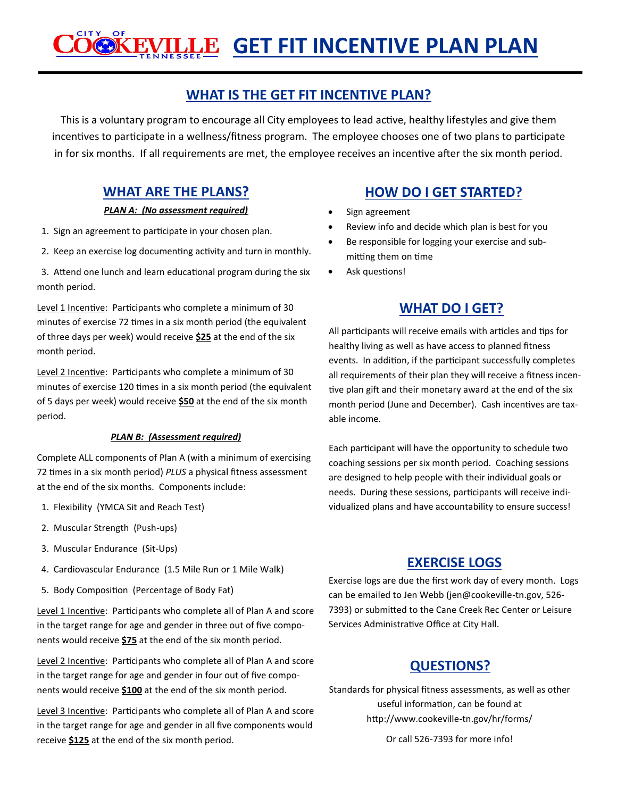#### **CITY** OF **GET FIT INCENTIVE PLAN PLAN**

# **WHAT IS THE GET FIT INCENTIVE PLAN?**

This is a voluntary program to encourage all City employees to lead active, healthy lifestyles and give them incentives to participate in a wellness/fitness program. The employee chooses one of two plans to participate in for six months. If all requirements are met, the employee receives an incentive after the six month period.

#### *PLAN A: (No assessment required)*

- 1. Sign an agreement to participate in your chosen plan.
- 2. Keep an exercise log documenting activity and turn in monthly.
- 3. Attend one lunch and learn educational program during the six month period.

Level 1 Incentive: Participants who complete a minimum of 30 minutes of exercise 72 times in a six month period (the equivalent of three days per week) would receive **\$25** at the end of the six month period.

Level 2 Incentive: Participants who complete a minimum of 30 minutes of exercise 120 times in a six month period (the equivalent of 5 days per week) would receive **\$50** at the end of the six month period.

#### *PLAN B: (Assessment required)*

Complete ALL components of Plan A (with a minimum of exercising 72 times in a six month period) *PLUS* a physical fitness assessment at the end of the six months. Components include:

- 1. Flexibility (YMCA Sit and Reach Test)
- 2. Muscular Strength (Push-ups)
- 3. Muscular Endurance (Sit-Ups)
- 4. Cardiovascular Endurance (1.5 Mile Run or 1 Mile Walk)
- 5. Body Composition (Percentage of Body Fat)

Level 1 Incentive: Participants who complete all of Plan A and score in the target range for age and gender in three out of five components would receive **\$75** at the end of the six month period.

Level 2 Incentive: Participants who complete all of Plan A and score in the target range for age and gender in four out of five components would receive **\$100** at the end of the six month period.

Level 3 Incentive: Participants who complete all of Plan A and score in the target range for age and gender in all five components would receive **\$125** at the end of the six month period.

# **WHAT ARE THE PLANS? HOW DO I GET STARTED?**

- Sign agreement
- Review info and decide which plan is best for you
- Be responsible for logging your exercise and submitting them on time
- Ask questions!

# **WHAT DO I GET?**

All participants will receive emails with articles and tips for healthy living as well as have access to planned fitness events. In addition, if the participant successfully completes all requirements of their plan they will receive a fitness incentive plan gift and their monetary award at the end of the six month period (June and December). Cash incentives are taxable income.

Each participant will have the opportunity to schedule two coaching sessions per six month period. Coaching sessions are designed to help people with their individual goals or needs. During these sessions, participants will receive individualized plans and have accountability to ensure success!

## **EXERCISE LOGS**

Exercise logs are due the first work day of every month. Logs can be emailed to Jen Webb (jen@cookeville-tn.gov, 526- 7393) or submitted to the Cane Creek Rec Center or Leisure Services Administrative Office at City Hall.

# **QUESTIONS?**

Standards for physical fitness assessments, as well as other useful information, can be found at http://www.cookeville-tn.gov/hr/forms/

Or call 526-7393 for more info!